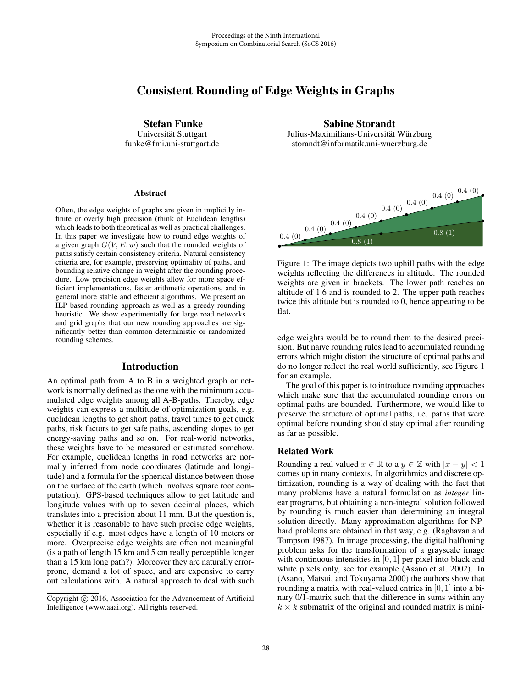# Consistent Rounding of Edge Weights in Graphs

Stefan Funke

Universität Stuttgart funke@fmi.uni-stuttgart.de

#### **Abstract**

Often, the edge weights of graphs are given in implicitly infinite or overly high precision (think of Euclidean lengths) which leads to both theoretical as well as practical challenges. In this paper we investigate how to round edge weights of a given graph  $G(V, E, w)$  such that the rounded weights of paths satisfy certain consistency criteria. Natural consistency criteria are, for example, preserving optimality of paths, and bounding relative change in weight after the rounding procedure. Low precision edge weights allow for more space efficient implementations, faster arithmetic operations, and in general more stable and efficient algorithms. We present an ILP based rounding approach as well as a greedy rounding heuristic. We show experimentally for large road networks and grid graphs that our new rounding approaches are significantly better than common deterministic or randomized rounding schemes.

# Introduction

An optimal path from A to B in a weighted graph or network is normally defined as the one with the minimum accumulated edge weights among all A-B-paths. Thereby, edge weights can express a multitude of optimization goals, e.g. euclidean lengths to get short paths, travel times to get quick paths, risk factors to get safe paths, ascending slopes to get energy-saving paths and so on. For real-world networks, these weights have to be measured or estimated somehow. For example, euclidean lengths in road networks are normally inferred from node coordinates (latitude and longitude) and a formula for the spherical distance between those on the surface of the earth (which involves square root computation). GPS-based techniques allow to get latitude and longitude values with up to seven decimal places, which translates into a precision about 11 mm. But the question is, whether it is reasonable to have such precise edge weights, especially if e.g. most edges have a length of 10 meters or more. Overprecise edge weights are often not meaningful (is a path of length 15 km and 5 cm really perceptible longer than a 15 km long path?). Moreover they are naturally errorprone, demand a lot of space, and are expensive to carry out calculations with. A natural approach to deal with such

Sabine Storandt Julius-Maximilians-Universität Würzburg storandt@informatik.uni-wuerzburg.de



Figure 1: The image depicts two uphill paths with the edge weights reflecting the differences in altitude. The rounded weights are given in brackets. The lower path reaches an altitude of 1.6 and is rounded to 2. The upper path reaches twice this altitude but is rounded to 0, hence appearing to be flat.

edge weights would be to round them to the desired precision. But naive rounding rules lead to accumulated rounding errors which might distort the structure of optimal paths and do no longer reflect the real world sufficiently, see Figure 1 for an example.

The goal of this paper is to introduce rounding approaches which make sure that the accumulated rounding errors on optimal paths are bounded. Furthermore, we would like to preserve the structure of optimal paths, i.e. paths that were optimal before rounding should stay optimal after rounding as far as possible.

# Related Work

Rounding a real valued  $x \in \mathbb{R}$  to a  $y \in \mathbb{Z}$  with  $|x - y| < 1$ comes up in many contexts. In algorithmics and discrete optimization, rounding is a way of dealing with the fact that many problems have a natural formulation as *integer* linear programs, but obtaining a non-integral solution followed by rounding is much easier than determining an integral solution directly. Many approximation algorithms for NPhard problems are obtained in that way, e.g. (Raghavan and Tompson 1987). In image processing, the digital halftoning problem asks for the transformation of a grayscale image with continuous intensities in [0, 1] per pixel into black and white pixels only, see for example (Asano et al. 2002). In (Asano, Matsui, and Tokuyama 2000) the authors show that rounding a matrix with real-valued entries in  $[0, 1]$  into a binary 0/1-matrix such that the difference in sums within any  $k \times k$  submatrix of the original and rounded matrix is mini-

Copyright  $\odot$  2016, Association for the Advancement of Artificial Intelligence (www.aaai.org). All rights reserved.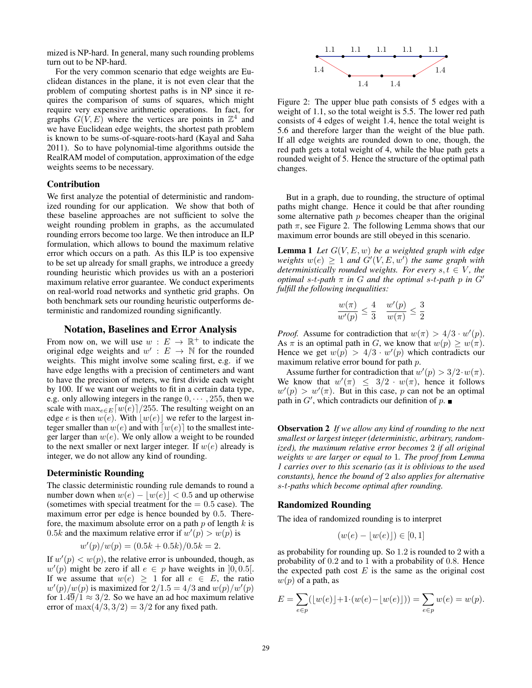mized is NP-hard. In general, many such rounding problems turn out to be NP-hard.

For the very common scenario that edge weights are Euclidean distances in the plane, it is not even clear that the problem of computing shortest paths is in NP since it requires the comparison of sums of squares, which might require very expensive arithmetic operations. In fact, for graphs  $G(V, E)$  where the vertices are points in  $\mathbb{Z}^4$  and we have Euclidean edge weights, the shortest path problem is known to be sums-of-square-roots-hard (Kayal and Saha 2011). So to have polynomial-time algorithms outside the RealRAM model of computation, approximation of the edge weights seems to be necessary.

## Contribution

We first analyze the potential of deterministic and randomized rounding for our application. We show that both of these baseline approaches are not sufficient to solve the weight rounding problem in graphs, as the accumulated rounding errors become too large. We then introduce an ILP formulation, which allows to bound the maximum relative error which occurs on a path. As this ILP is too expensive to be set up already for small graphs, we introduce a greedy rounding heuristic which provides us with an a posteriori maximum relative error guarantee. We conduct experiments on real-world road networks and synthetic grid graphs. On both benchmark sets our rounding heuristic outperforms deterministic and randomized rounding significantly.

# Notation, Baselines and Error Analysis

From now on, we will use  $w : E \to \mathbb{R}^+$  to indicate the original edge weights and  $w' : E \to \mathbb{N}$  for the rounded weights. This might involve some scaling first, e.g. if we have edge lengths with a precision of centimeters and want to have the precision of meters, we first divide each weight by 100. If we want our weights to fit in a certain data type, e.g. only allowing integers in the range  $0, \dots, 255$ , then we scale with  $\max_{e \in E} [w(e)]/255$ . The resulting weight on an edge *e* is then  $w(e)$ . With  $[w(e)]$  we refer to the largest integer smaller than  $w(e)$  and with  $[w(e)]$  to the smallest integer larger than  $w(e)$ . We only allow a weight to be rounded to the next smaller or next larger integer. If  $w(e)$  already is integer, we do not allow any kind of rounding.

## Deterministic Rounding

The classic deterministic rounding rule demands to round a number down when  $w(e) - |w(e)| < 0.5$  and up otherwise (sometimes with special treatment for the  $= 0.5$  case). The maximum error per edge is hence bounded by 0.5. Therefore, the maximum absolute error on a path  $p$  of length  $k$  is 0.5k and the maximum relative error if  $w'(p) > w(p)$  is

$$
w'(p)/w(p) = (0.5k + 0.5k)/0.5k = 2.
$$

If  $w'(p) < w(p)$ , the relative error is unbounded, though, as  $w'(p)$  might be zero if all  $e \in p$  have weights in  $]0, 0.5[$ . If we assume that  $w(e) \geq 1$  for all  $e \in E$ , the ratio  $w'(p)/w(p)$  is maximized for  $2/1.5=4/3$  and  $w(p)/w'(p)$ for  $1.4\overline{9}/1 \approx 3/2$ . So we have an ad hoc maximum relative error of  $\max(4/3, 3/2) = 3/2$  for any fixed path.



Figure 2: The upper blue path consists of 5 edges with a weight of 1.1, so the total weight is 5.5. The lower red path consists of 4 edges of weight 1.4, hence the total weight is 5.6 and therefore larger than the weight of the blue path. If all edge weights are rounded down to one, though, the red path gets a total weight of 4, while the blue path gets a rounded weight of 5. Hence the structure of the optimal path changes.

But in a graph, due to rounding, the structure of optimal paths might change. Hence it could be that after rounding some alternative path  $p$  becomes cheaper than the original path  $\pi$ , see Figure 2. The following Lemma shows that our maximum error bounds are still obeyed in this scenario.

Lemma 1 *Let* G(V,E,w) *be a weighted graph with edge*  $weights$   $w(e) \geq 1$  *and*  $G'(V, E, w')$  *the same graph with deterministically rounded weights. For every*  $s, t \in V$ *, the optimal* s*-*t*-path* π *in* G *and the optimal* s*-*t*-path* p *in* G *fulfill the following inequalities:*

$$
\frac{w(\pi)}{w'(p)} \le \frac{4}{3} \quad \frac{w'(p)}{w(\pi)} \le \frac{3}{2}
$$

*Proof.* Assume for contradiction that  $w(\pi) > 4/3 \cdot w'(p)$ . As  $\pi$  is an optimal path in G, we know that  $w(p) \geq w(\pi)$ . Hence we get  $w(p) > 4/3 \cdot w'(p)$  which contradicts our maximum relative error bound for path p.

Assume further for contradiction that  $w'(p) > 3/2 \cdot w(\pi)$ . We know that  $w'(\pi) \leq 3/2 \cdot w(\pi)$ , hence it follows  $w'(p) > w'(\pi)$ . But in this case, p can not be an optimal path in  $G'$ , which contradicts our definition of p.

Observation 2 *If we allow any kind of rounding to the next smallest or largest integer (deterministic, arbitrary, randomized), the maximum relative error becomes* 2 *if all original weights* w *are larger or equal to* 1*. The proof from Lemma 1 carries over to this scenario (as it is oblivious to the used constants), hence the bound of* 2 *also applies for alternative* s*-*t*-paths which become optimal after rounding.*

#### Randomized Rounding

The idea of randomized rounding is to interpret

$$
(w(e) - \lfloor w(e) \rfloor) \in [0, 1]
$$

as probability for rounding up. So 1.2 is rounded to 2 with a probability of 0.2 and to 1 with a probability of 0.8. Hence the expected path cost  $E$  is the same as the original cost  $w(p)$  of a path, as

$$
E = \sum_{e \in p} (\lfloor w(e) \rfloor + 1 \cdot (w(e) - \lfloor w(e) \rfloor)) = \sum_{e \in p} w(e) = w(p).
$$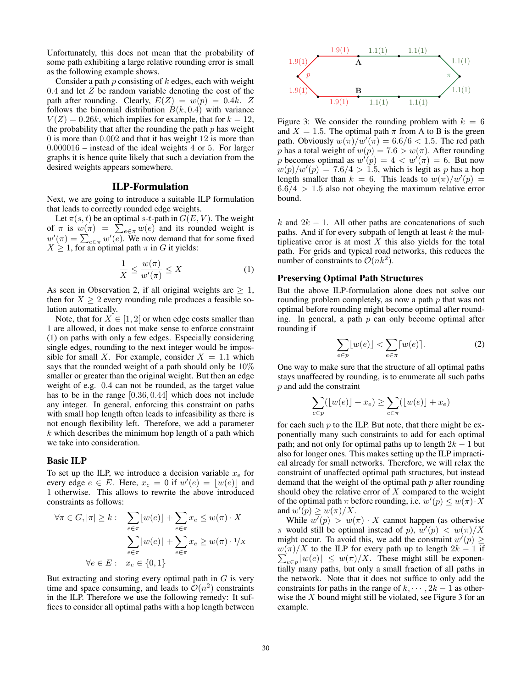Unfortunately, this does not mean that the probability of some path exhibiting a large relative rounding error is small as the following example shows.

Consider a path  $p$  consisting of  $k$  edges, each with weight  $0.4$  and let  $Z$  be random variable denoting the cost of the path after rounding. Clearly,  $E(Z) = w(p) = 0.4k$ . Z follows the binomial distribution  $B(k, 0.4)$  with variance  $V(Z)=0.26k$ , which implies for example, that for  $k = 12$ , the probability that after the rounding the path  $p$  has weight 0 is more than 0.002 and that it has weight 12 is more than 0.000016 – instead of the ideal weights 4 or 5. For larger graphs it is hence quite likely that such a deviation from the desired weights appears somewhere.

# ILP-Formulation

Next, we are going to introduce a suitable ILP formulation that leads to correctly rounded edge weights.

Let  $\pi(s, t)$  be an optimal s-t-path in  $G(E, V)$ . The weight of  $\pi$  is  $w(\pi) = \sum_{e \in \pi} w(e)$  and its rounded weight is  $w'(\pi) = \sum_{e \in \pi} w'(e)$ . We now demand that for some fixed  $X \geq 1$ , for an optimal path  $\pi$  in G it yields:

$$
\frac{1}{X} \le \frac{w(\pi)}{w'(\pi)} \le X \tag{1}
$$

As seen in Observation 2, if all original weights are  $\geq 1$ , then for  $X \geq 2$  every rounding rule produces a feasible solution automatically.

Note, that for  $X \in [1, 2]$  or when edge costs smaller than 1 are allowed, it does not make sense to enforce constraint (1) on paths with only a few edges. Especially considering single edges, rounding to the next integer would be impossible for small X. For example, consider  $X = 1.1$  which says that the rounded weight of a path should only be 10% smaller or greater than the original weight. But then an edge weight of e.g. 0.4 can not be rounded, as the target value has to be in the range  $[0.\overline{36}, 0.44]$  which does not include any integer. In general, enforcing this constraint on paths with small hop length often leads to infeasibility as there is not enough flexibility left. Therefore, we add a parameter  $k$  which describes the minimum hop length of a path which we take into consideration.

#### Basic ILP

To set up the ILP, we introduce a decision variable  $x_e$  for every edge  $e \in E$ . Here,  $x_e = 0$  if  $w'(e) = \lfloor w(e) \rfloor$  and 1 otherwise. This allows to rewrite the above introduced constraints as follows:

$$
\forall \pi \in G, |\pi| \ge k : \sum_{e \in \pi} \lfloor w(e) \rfloor + \sum_{e \in \pi} x_e \le w(\pi) \cdot X
$$

$$
\sum_{e \in \pi} \lfloor w(e) \rfloor + \sum_{e \in \pi} x_e \ge w(\pi) \cdot 1/X
$$

$$
\forall e \in E : x_e \in \{0, 1\}
$$

But extracting and storing every optimal path in  $G$  is very time and space consuming, and leads to  $\mathcal{O}(n^2)$  constraints in the ILP. Therefore we use the following remedy: It suffices to consider all optimal paths with a hop length between



Figure 3: We consider the rounding problem with  $k = 6$ and  $X = 1.5$ . The optimal path  $\pi$  from A to B is the green path. Obviously  $w(\pi)/w'(\pi) = 6.6/6 < 1.5$ . The red path p has a total weight of  $w(p)=7.6 > w(\pi)$ . After rounding p becomes optimal as  $w'(p) = 4 < w'(\pi) = 6$ . But now  $w(p)/w'(p) = 7.6/4 > 1.5$ , which is legit as p has a hop length smaller than  $k = 6$ . This leads to  $w(\pi)/w'(p) =$  $6.6/4 > 1.5$  also not obeying the maximum relative error bound.

k and  $2k - 1$ . All other paths are concatenations of such paths. And if for every subpath of length at least  $k$  the multiplicative error is at most  $X$  this also yields for the total path. For grids and typical road networks, this reduces the number of constraints to  $\mathcal{O}(nk^2)$ .

#### Preserving Optimal Path Structures

But the above ILP-formulation alone does not solve our rounding problem completely, as now a path  $p$  that was not optimal before rounding might become optimal after rounding. In general, a path  $p$  can only become optimal after rounding if

$$
\sum_{e \in p} \lfloor w(e) \rfloor < \sum_{e \in \pi} \lceil w(e) \rceil. \tag{2}
$$

One way to make sure that the structure of all optimal paths stays unaffected by rounding, is to enumerate all such paths p and add the constraint

$$
\sum_{e \in p} (\lfloor w(e) \rfloor + x_e) \ge \sum_{e \in \pi} (\lfloor w(e) \rfloor + x_e)
$$

for each such  $p$  to the ILP. But note, that there might be exponentially many such constraints to add for each optimal path; and not only for optimal paths up to length  $2k - 1$  but also for longer ones. This makes setting up the ILP impractical already for small networks. Therefore, we will relax the constraint of unaffected optimal path structures, but instead demand that the weight of the optimal path  $p$  after rounding should obey the relative error of  $X$  compared to the weight of the optimal path  $\pi$  before rounding, i.e.  $w'(p) \leq w(\pi) \cdot X$ and  $w'(p) \geq w(\pi)/X$ .

While  $w'(p) > w(\pi) \cdot X$  cannot happen (as otherwise  $\pi$  would still be optimal instead of p),  $w'(p) < w(\pi)/X$ might occur. To avoid this, we add the constraint  $w'(p) \ge$  $w(\pi)/X$  to the ILP for every path up to length  $2k - 1$  if  $\sum_{e \in p} \lfloor w(e) \rfloor \leq w(\pi)/X$ . These might still be exponentially many paths, but only a small fraction of all paths in the network. Note that it does not suffice to only add the constraints for paths in the range of  $k, \dots, 2k - 1$  as otherwise the  $X$  bound might still be violated, see Figure 3 for an example.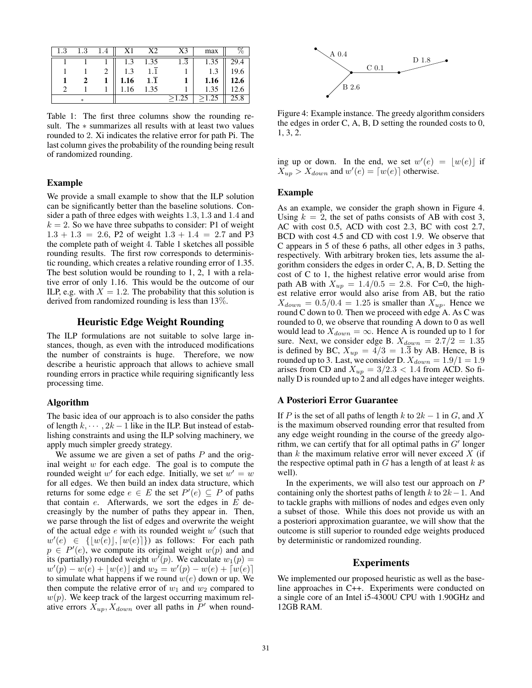| $_{1.3}$ | 1.3 | .4 | X1   | X2               | X3       | max           |      |
|----------|-----|----|------|------------------|----------|---------------|------|
|          |     |    | 1.3  | 1.35             | $_{1.3}$ | 1.35          | 29.4 |
|          |     |    | 1.3  |                  |          | 1.3           | 19.6 |
|          |     |    | 1.16 | $1.\overline{1}$ |          | 1.16          | 12.6 |
|          |     |    | 16   | 1.35             |          | 1.35          |      |
|          | *   |    |      |                  | >1.25    | $>$ 1.25 $\,$ | 25.8 |

Table 1: The first three columns show the rounding result. The ∗ summarizes all results with at least two values rounded to 2. Xi indicates the relative error for path Pi. The last column gives the probability of the rounding being result of randomized rounding.

## Example

We provide a small example to show that the ILP solution can be significantly better than the baseline solutions. Consider a path of three edges with weights 1.3, 1.3 and 1.4 and  $k = 2$ . So we have three subpaths to consider: P1 of weight  $1.3 + 1.3 = 2.6$ , P2 of weight  $1.3 + 1.4 = 2.7$  and P3 the complete path of weight 4. Table 1 sketches all possible rounding results. The first row corresponds to deterministic rounding, which creates a relative rounding error of 1.35. The best solution would be rounding to 1, 2, 1 with a relative error of only 1.16. This would be the outcome of our ILP, e.g. with  $X = 1.2$ . The probability that this solution is derived from randomized rounding is less than 13%.

# Heuristic Edge Weight Rounding

The ILP formulations are not suitable to solve large instances, though, as even with the introduced modifications the number of constraints is huge. Therefore, we now describe a heuristic approach that allows to achieve small rounding errors in practice while requiring significantly less processing time.

#### Algorithm

The basic idea of our approach is to also consider the paths of length  $k, \dots, 2k-1$  like in the ILP. But instead of establishing constraints and using the ILP solving machinery, we apply much simpler greedy strategy.

We assume we are given a set of paths  $P$  and the original weight  $w$  for each edge. The goal is to compute the rounded weight  $w'$  for each edge. Initially, we set  $w' = w$ for all edges. We then build an index data structure, which returns for some edge  $e \in E$  the set  $P'(e) \subseteq P$  of paths that contain  $e$ . Afterwards, we sort the edges in  $E$  decreasingly by the number of paths they appear in. Then, we parse through the list of edges and overwrite the weight of the actual edge  $e$  with its rounded weight  $w'$  (such that  $w'(e) \in \{ [w(e)], [w(e)] \}$  as follows: For each path  $p \in P'(e)$ , we compute its original weight  $w(p)$  and and its (partially) rounded weight  $w'(p)$ . We calculate  $w_1(p) =$  $w'(p) - w(e) + \lfloor w(e) \rfloor$  and  $w_2 = w'(p) - w(e) + \lceil w(e) \rceil$ to simulate what happens if we round  $w(e)$  down or up. We then compute the relative error of  $w_1$  and  $w_2$  compared to  $w(p)$ . We keep track of the largest occurring maximum relative errors  $X_{up}$ ,  $X_{down}$  over all paths in  $P'$  when round-



Figure 4: Example instance. The greedy algorithm considers the edges in order C, A, B, D setting the rounded costs to 0, 1, 3, 2.

ing up or down. In the end, we set  $w'(e) = \lfloor w(e) \rfloor$  if  $X_{up} > X_{down}$  and  $w'(e) = [w(e)]$  otherwise.

#### Example

As an example, we consider the graph shown in Figure 4. Using  $k = 2$ , the set of paths consists of AB with cost 3, AC with cost 0.5, ACD with cost 2.3, BC with cost 2.7, BCD with cost 4.5 and CD with cost 1.9. We observe that C appears in 5 of these 6 paths, all other edges in 3 paths, respectively. With arbitrary broken ties, lets assume the algorithm considers the edges in order C, A, B, D. Setting the cost of C to 1, the highest relative error would arise from path AB with  $X_{up} = 1.4/0.5 = 2.8$ . For C=0, the highest relative error would also arise from AB, but the ratio  $X_{down} = 0.5/0.4 = 1.25$  is smaller than  $X_{up}$ . Hence we round C down to 0. Then we proceed with edge A. As C was rounded to 0, we observe that rounding A down to 0 as well would lead to  $X_{down} = \infty$ . Hence A is rounded up to 1 for sure. Next, we consider edge B.  $X_{d_{\text{QWD}}} = 2.7/2 = 1.35$ is defined by BC,  $X_{up} = 4/3 = 1.\overline{3}$  by AB. Hence, B is rounded up to 3. Last, we consider D.  $X_{down} = 1.9/1 = 1.9$ arises from CD and  $X_{up} = 3/2.3 < 1.4$  from ACD. So finally D is rounded up to 2 and all edges have integer weights.

### A Posteriori Error Guarantee

If P is the set of all paths of length k to  $2k - 1$  in G, and X is the maximum observed rounding error that resulted from any edge weight rounding in the course of the greedy algorithm, we can certify that for all optimal paths in  $G'$  longer than  $k$  the maximum relative error will never exceed  $X$  (if the respective optimal path in  $G$  has a length of at least  $k$  as well).

In the experiments, we will also test our approach on  $P$ containing only the shortest paths of length  $k$  to  $2k-1$ . And to tackle graphs with millions of nodes and edges even only a subset of those. While this does not provide us with an a posteriori approximation guarantee, we will show that the outcome is still superior to rounded edge weights produced by deterministic or randomized rounding.

## Experiments

We implemented our proposed heuristic as well as the baseline approaches in C++. Experiments were conducted on a single core of an Intel i5-4300U CPU with 1.90GHz and 12GB RAM.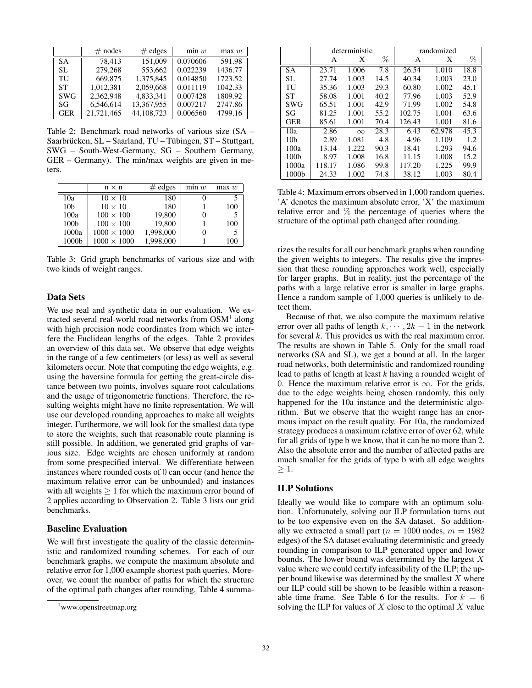|            | $#$ nodes  | $#$ edges  | min w    | max w   |
|------------|------------|------------|----------|---------|
| <b>SA</b>  | 78.413     | 151,009    | 0.070606 | 591.98  |
| SL.        | 279,268    | 553,662    | 0.022239 | 1436.77 |
| TU         | 669,875    | 1,375,845  | 0.014850 | 1723.52 |
| ST         | 1,012,381  | 2,059,668  | 0.011119 | 1042.33 |
| <b>SWG</b> | 2.362.948  | 4,833,341  | 0.007428 | 1809.92 |
| SG         | 6,546,614  | 13,367,955 | 0.007217 | 2747.86 |
| <b>GER</b> | 21,721,465 | 44,108,723 | 0.006560 | 4799.16 |

Table 2: Benchmark road networks of various size (SA – Saarbrücken, SL – Saarland, TU – Tübingen, ST – Stuttgart, SWG – South-West-Germany, SG – Southern Germany, GER – Germany). The min/max weights are given in meters.

|                  | $n \times n$       | $#$ edges | min w | max w |
|------------------|--------------------|-----------|-------|-------|
| 10a              | $10 \times 10$     | 180       | 0     |       |
| 10 <sub>b</sub>  | $10 \times 10$     | 180       |       | 100   |
| 100a             | $100 \times 100$   | 19,800    | 0     |       |
| 100 <sub>b</sub> | $100 \times 100$   | 19,800    |       | 100   |
| 1000a            | $1000 \times 1000$ | 1,998,000 | 0     |       |
| 1000b            | $1000 \times 1000$ | 1,998,000 |       | 100   |

Table 3: Grid graph benchmarks of various size and with two kinds of weight ranges.

# Data Sets

We use real and synthetic data in our evaluation. We extracted several real-world road networks from  $OSM<sup>1</sup>$  along with high precision node coordinates from which we interfere the Euclidean lengths of the edges. Table 2 provides an overview of this data set. We observe that edge weights in the range of a few centimeters (or less) as well as several kilometers occur. Note that computing the edge weights, e.g. using the haversine formula for getting the great-circle distance between two points, involves square root calculations and the usage of trigonometric functions. Therefore, the resulting weights might have no finite representation. We will use our developed rounding approaches to make all weights integer. Furthermore, we will look for the smallest data type to store the weights, such that reasonable route planning is still possible. In addition, we generated grid graphs of various size. Edge weights are chosen uniformly at random from some prespecified interval. We differentiate between instances where rounded costs of 0 can occur (and hence the maximum relative error can be unbounded) and instances with all weights  $\geq 1$  for which the maximum error bound of 2 applies according to Observation 2. Table 3 lists our grid benchmarks.

#### Baseline Evaluation

We will first investigate the quality of the classic deterministic and randomized rounding schemes. For each of our benchmark graphs, we compute the maximum absolute and relative error for 1,000 example shortest path queries. Moreover, we count the number of paths for which the structure of the optimal path changes after rounding. Table 4 summa-

|                  |        | deterministic |      | randomized |        |      |
|------------------|--------|---------------|------|------------|--------|------|
|                  | A      | X             | $\%$ | Α          | X      | %    |
| SА               | 23.71  | 1.006         | 7.8  | 26.54      | 1.010  | 18.8 |
| SL.              | 27.74  | 1.003         | 14.5 | 40.34      | 1.003  | 23.0 |
| TU               | 35.36  | 1.003         | 29.3 | 60.80      | 1.002  | 45.1 |
| ST               | 58.08  | 1.001         | 40.2 | 77.96      | 1.003  | 52.9 |
| SWG              | 65.51  | 1.001         | 42.9 | 71.99      | 1.002  | 54.8 |
| SG               | 81.25  | 1.001         | 55.2 | 102.75     | 1.001  | 63.6 |
| <b>GER</b>       | 85.61  | 1.001         | 70.4 | 126.43     | 1.001  | 81.6 |
| 10a              | 2.86   | $\infty$      | 28.3 | 6.43       | 62.978 | 45.3 |
| 10 <sub>b</sub>  | 2.89   | 1.081         | 4.8  | 4.96       | 1.109  | 1.2. |
| 100a             | 13.14  | 1.222         | 90.3 | 18.41      | 1.293  | 94.6 |
| 100 <sub>b</sub> | 8.97   | 1.008         | 16.8 | 11.15      | 1.008  | 15.2 |
| 1000a            | 118.17 | 1.086         | 99.8 | 117.20     | 1.225  | 99.9 |
| 1000b            | 24.33  | 1.002         | 74.8 | 38.12      | 1.003  | 80.4 |

Table 4: Maximum errors observed in 1,000 random queries. 'A' denotes the maximum absolute error, 'X' the maximum relative error and % the percentage of queries where the structure of the optimal path changed after rounding.

rizes the results for all our benchmark graphs when rounding the given weights to integers. The results give the impression that these rounding approaches work well, especially for larger graphs. But in reality, just the percentage of the paths with a large relative error is smaller in large graphs. Hence a random sample of 1,000 queries is unlikely to detect them.

Because of that, we also compute the maximum relative error over all paths of length  $k, \dots, 2k - 1$  in the network for several  $k$ . This provides us with the real maximum error. The results are shown in Table 5. Only for the small road networks (SA and SL), we get a bound at all. In the larger road networks, both deterministic and randomized rounding lead to paths of length at least  $k$  having a rounded weight of 0. Hence the maximum relative error is  $\infty$ . For the grids, due to the edge weights being chosen randomly, this only happened for the 10a instance and the deterministic algorithm. But we observe that the weight range has an enormous impact on the result quality. For 10a, the randomized strategy produces a maximum relative error of over 62, while for all grids of type b we know, that it can be no more than 2. Also the absolute error and the number of affected paths are much smaller for the grids of type b with all edge weights  $>1$ .

# ILP Solutions

Ideally we would like to compare with an optimum solution. Unfortunately, solving our ILP formulation turns out to be too expensive even on the SA dataset. So additionally we extracted a small part ( $n = 1000$  nodes,  $m = 1982$ ) edges) of the SA dataset evaluating deterministic and greedy rounding in comparison to ILP generated upper and lower bounds. The lower bound was determined by the largest  $X$ value where we could certify infeasibility of the ILP; the upper bound likewise was determined by the smallest  $X$  where our ILP could still be shown to be feasible within a reasonable time frame. See Table 6 for the results. For  $k = 6$ solving the ILP for values of  $X$  close to the optimal  $X$  value

<sup>1</sup> www.openstreetmap.org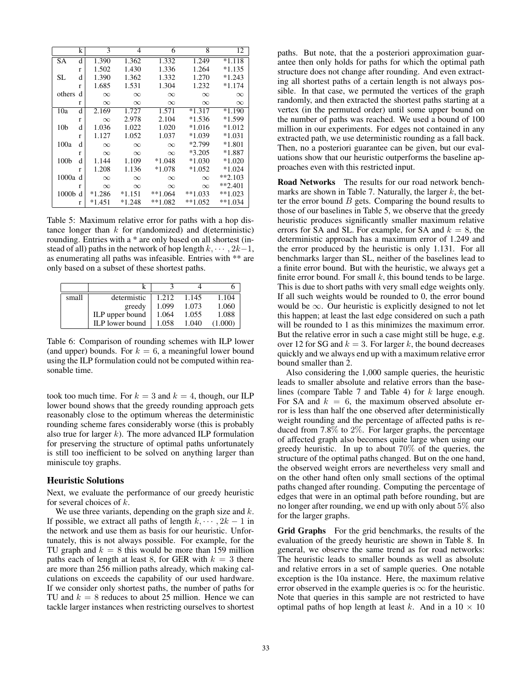|                  | k | 3        | 4        | 6         | 8         | 12        |
|------------------|---|----------|----------|-----------|-----------|-----------|
| SА               | d | 1.390    | 1.362    | 1.332     | 1.249     | $*1.118$  |
|                  | r | 1.502    | 1.430    | 1.336     | 1.264     | $*1.135$  |
| SL               | d | 1.390    | 1.362    | 1.332     | 1.270     | $*1.243$  |
|                  | r | 1.685    | 1.531    | 1.304     | 1.232     | $*1.174$  |
| others           | d | $\infty$ | $\infty$ | $\infty$  | $\infty$  | $\infty$  |
|                  | r | $\infty$ | $\infty$ | $\infty$  | $\infty$  | $\infty$  |
| 10a              | d | 2.169    | 1.727    | 1.571     | $*1.317$  | $*1.190$  |
|                  | r | $\infty$ | 2.978    | 2.104     | $*1.536$  | $*1.599$  |
| 10 <sub>b</sub>  | d | 1.036    | 1.022    | 1.020     | $*1.016$  | $*1.012$  |
|                  | r | 1.127    | 1.052    | 1.037     | $*1.039$  | $*1.031$  |
| 100a             | d | $\infty$ | $\infty$ | $\infty$  | $*2.799$  | $*1.801$  |
|                  | r | $\infty$ | $\infty$ | $\infty$  | $*3.205$  | $*1.887$  |
| 100 <sub>b</sub> | d | 1.144    | 1.109    | $*1.048$  | $*1.030$  | $*1.020$  |
|                  | r | 1.208    | 1.136    | $*1.078$  | $*1.052$  | $*1.024$  |
| 1000a            | d | $\infty$ | $\infty$ | $\infty$  | $\infty$  | $**2.103$ |
|                  | r | $\infty$ | $\infty$ | $\infty$  | $\infty$  | $**2.401$ |
| $1000b$ d        |   | $*1.286$ | $*1.151$ | $**1.064$ | $**1.033$ | $**1.023$ |
|                  | r | $*1.451$ | $*1.248$ | $**1.082$ | $**1.052$ | $**1.034$ |

Table 5: Maximum relative error for paths with a hop distance longer than  $k$  for r(andomized) and d(eterministic) rounding. Entries with a \* are only based on all shortest (instead of all) paths in the network of hop length  $k, \dots, 2k-1$ , as enumerating all paths was infeasible. Entries with \*\* are only based on a subset of these shortest paths.

| small | determistic     | 1.212 | 1.145 | 1.104   |
|-------|-----------------|-------|-------|---------|
|       | greedy          | 1.099 | 1.073 | 1.060   |
|       | ILP upper bound | 1.064 | 1.055 | 1.088   |
|       | ILP lower bound | 1.058 | 1.040 | (1.000) |

Table 6: Comparison of rounding schemes with ILP lower (and upper) bounds. For  $k = 6$ , a meaningful lower bound using the ILP formulation could not be computed within reasonable time.

took too much time. For  $k = 3$  and  $k = 4$ , though, our ILP lower bound shows that the greedy rounding approach gets reasonably close to the optimum whereas the deterministic rounding scheme fares considerably worse (this is probably also true for larger  $k$ ). The more advanced ILP formulation for preserving the structure of optimal paths unfortunately is still too inefficient to be solved on anything larger than miniscule toy graphs.

#### Heuristic Solutions

Next, we evaluate the performance of our greedy heuristic for several choices of  $k$ .

We use three variants, depending on the graph size and  $k$ . If possible, we extract all paths of length  $k, \dots, 2k - 1$  in the network and use them as basis for our heuristic. Unfortunately, this is not always possible. For example, for the TU graph and  $k = 8$  this would be more than 159 million paths each of length at least 8, for GER with  $k = 3$  there are more than 256 million paths already, which making calculations on exceeds the capability of our used hardware. If we consider only shortest paths, the number of paths for TU and  $k = 8$  reduces to about 25 million. Hence we can tackle larger instances when restricting ourselves to shortest

paths. But note, that the a posteriori approximation guarantee then only holds for paths for which the optimal path structure does not change after rounding. And even extracting all shortest paths of a certain length is not always possible. In that case, we permuted the vertices of the graph randomly, and then extracted the shortest paths starting at a vertex (in the permuted order) until some upper bound on the number of paths was reached. We used a bound of 100 million in our experiments. For edges not contained in any extracted path, we use deterministic rounding as a fall back. Then, no a posteriori guarantee can be given, but our evaluations show that our heuristic outperforms the baseline approaches even with this restricted input.

Road Networks The results for our road network benchmarks are shown in Table 7. Naturally, the larger  $k$ , the better the error bound  $B$  gets. Comparing the bound results to those of our baselines in Table 5, we observe that the greedy heuristic produces significantly smaller maximum relative errors for SA and SL. For example, for SA and  $k = 8$ , the deterministic approach has a maximum error of 1.249 and the error produced by the heuristic is only 1.131. For all benchmarks larger than SL, neither of the baselines lead to a finite error bound. But with the heuristic, we always get a finite error bound. For small  $k$ , this bound tends to be large. This is due to short paths with very small edge weights only. If all such weights would be rounded to 0, the error bound would be  $\infty$ . Our heuristic is explicitly designed to not let this happen; at least the last edge considered on such a path will be rounded to 1 as this minimizes the maximum error. But the relative error in such a case might still be huge, e.g. over 12 for SG and  $k = 3$ . For larger k, the bound decreases quickly and we always end up with a maximum relative error bound smaller than 2.

Also considering the 1,000 sample queries, the heuristic leads to smaller absolute and relative errors than the baselines (compare Table 7 and Table 4) for k large enough. For SA and  $k = 6$ , the maximum observed absolute error is less than half the one observed after deterministically weight rounding and the percentage of affected paths is reduced from 7.8% to  $2\%$ . For larger graphs, the percentage of affected graph also becomes quite large when using our greedy heuristic. In up to about 70% of the queries, the structure of the optimal paths changed. But on the one hand, the observed weight errors are nevertheless very small and on the other hand often only small sections of the optimal paths changed after rounding. Computing the percentage of edges that were in an optimal path before rounding, but are no longer after rounding, we end up with only about 5% also for the larger graphs.

Grid Graphs For the grid benchmarks, the results of the evaluation of the greedy heuristic are shown in Table 8. In general, we observe the same trend as for road networks: The heuristic leads to smaller bounds as well as absolute and relative errors in a set of sample queries. One notable exception is the 10a instance. Here, the maximum relative error observed in the example queries is  $\infty$  for the heuristic. Note that queries in this sample are not restricted to have optimal paths of hop length at least k. And in a  $10 \times 10$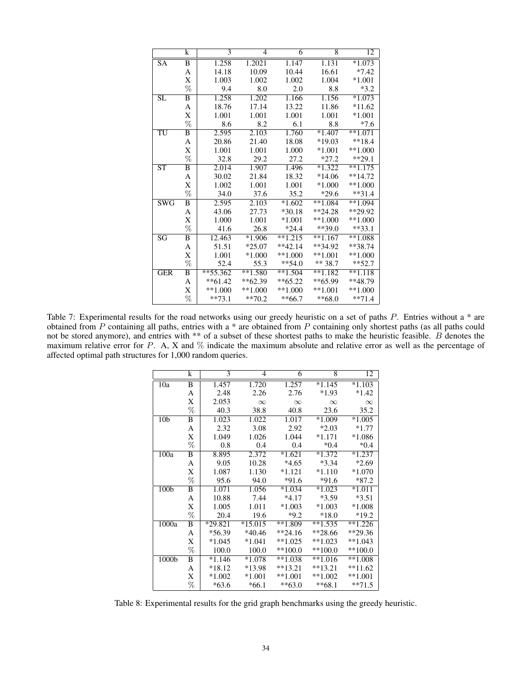|                         | k              | 3          | 4         | 6                    | 8                  | 12        |
|-------------------------|----------------|------------|-----------|----------------------|--------------------|-----------|
| <b>SA</b>               | B              | 1.258      | 1.2021    | 1.147                | 1.131              | $*1.073$  |
|                         | А              | 14.18      | 10.09     | 10.44                | 16.61              | $*7.42$   |
|                         | X              | 1.003      | 1.002     | 1.002                | 1.004              | $*1.001$  |
|                         | %              | 9.4        | 8.0       | 2.0                  | 8.8                | $*3.2$    |
| $\overline{\text{SL}}$  | B              | 1.258      | 1.202     | $1.\overline{166}$   | $1.\overline{156}$ | $*1.073$  |
|                         | А              | 18.76      | 17.14     | 13.22                | 11.86              | $*11.62$  |
|                         | X              | 1.001      | 1.001     | 1.001                | 1.001              | $*1.001$  |
|                         | %              | 8.6        | 8.2       | 6.1                  | 8.8                | $*7.6$    |
| TU                      | B              | 2.595      | 2.103     | 1.760                | $*1.407$           | $**1.071$ |
|                         | А              | 20.86      | 21.40     | 18.08                | $*19.03$           | $**18.4$  |
|                         | X              | 1.001      | 1.001     | 1.000                | $*1.001$           | $**1.000$ |
|                         | %              | 32.8       | 29.2      | 27.2                 | $*27.2$            | $**29.1$  |
| <b>ST</b>               | B              | 2.014      | 1.907     | 1.496                | $*1.322$           | $**1.175$ |
|                         | А              | 30.02      | 21.84     | 18.32                | $*14.06$           | $**14.72$ |
|                         | X              | 1.002      | 1.001     | 1.001                | $*1.000$           | $**1.000$ |
|                         | %              | 34.0       | 37.6      | 35.2                 | $*29.6$            | $**31.4$  |
| $\overline{\text{SWG}}$ | $\overline{B}$ | 2.595      | 2.103     | $*1.602$             | $**1.084$          | $**1.094$ |
|                         | A              | 43.06      | 27.73     | $*30.18$             | $*24.28$           | $**29.92$ |
|                         | X              | 1.000      | 1.001     | $*1.001$             | $**1.000$          | $**1.000$ |
|                         | %              | 41.6       | 26.8      | $*24.4$              | $**39.0$           | $**33.1$  |
| $\overline{\rm SG}$     | B              | 12.463     | $*1.906$  | $**1.215$            | $**1.167$          | $**1.088$ |
|                         | A              | 51.51      | $*25.07$  | $**42.14$            | $**34.92$          | $**38.74$ |
|                         | X              | 1.001      | $*1.000$  | $**1.000$            | $**1.001$          | $**1.000$ |
|                         | %              | 52.4       | 55.3      | $**54.0$             | $** 38.7$          | $**52.7$  |
| <b>GER</b>              | B              | $**55.362$ | $**1.580$ | $*$ <sup>1.504</sup> | $**1.182$          | $**1.118$ |
|                         | A              | $**61.42$  | $**62.39$ | $**65.22$            | $**65.99$          | $**48.79$ |
|                         | X              | $**1.000$  | $**1.000$ | $**1.000$            | $**1.001$          | $**1.000$ |
|                         | %              | $**73.1$   | $**70.2$  | $**66.7$             | $**68.0$           | $**71.4$  |

Table 7: Experimental results for the road networks using our greedy heuristic on a set of paths P. Entries without a \* are obtained from P containing all paths, entries with a \* are obtained from P containing only shortest paths (as all paths could not be stored anymore), and entries with \*\* of a subset of these shortest paths to make the heuristic feasible. B denotes the maximum relative error for  $P$ . A, X and  $\%$  indicate the maximum absolute and relative error as well as the percentage of affected optimal path structures for 1,000 random queries.

|                   | k    | 3        | 4         | 6         | 8         | 12        |
|-------------------|------|----------|-----------|-----------|-----------|-----------|
| 10a               | B    | 1.457    | 1.720     | 1.257     | $*1.145$  | $*1.103$  |
|                   | A    | 2.48     | 2.26      | 2.76      | $*1.93$   | $*1.42$   |
|                   | X    | 2.053    | $\infty$  | $\infty$  | $\infty$  | $\infty$  |
|                   | $\%$ | 40.3     | 38.8      | 40.8      | 23.6      | 35.2      |
| 10 <sub>b</sub>   | B    | 1.023    | 1.022     | 1.017     | $*1.009$  | $*1.005$  |
|                   | A    | 2.32     | 3.08      | 2.92      | $*2.03$   | $*1.77$   |
|                   | X    | 1.049    | 1.026     | 1.044     | $*1.171$  | $*1.086$  |
|                   | %    | 0.8      | 0.4       | 0.4       | $*0.4$    | $*0.4$    |
| 100a              | B    | 8.895    | 2.372     | $*1.621$  | $*1.372$  | $*1.237$  |
|                   | A    | 9.05     | 10.28     | $*4.65$   | $*3.34$   | $*2.69$   |
|                   | X    | 1.087    | 1.130     | $*1.121$  | $*1.110$  | $*1.070$  |
|                   | %    | 95.6     | 94.0      | $*91.6$   | $*91.6$   | $*87.2$   |
| 100 <sub>b</sub>  | B    | 1.071    | 1.056     | $*1.034$  | $*1.023$  | $*1.011$  |
|                   | A    | 10.88    | 7.44      | $*4.17$   | *3.59     | $*3.51$   |
|                   | X    | 1.005    | 1.011     | $*1.003$  | $*1.003$  | $*1.008$  |
|                   | $\%$ | 20.4     | 19.6      | $*9.2$    | $*18.0$   | $*19.2$   |
| 1000a             | B    | *29.821  | $*15.015$ | $**1.809$ | $**1.535$ | $**1.226$ |
|                   | A    | $*56.39$ | $*40.46$  | $*24.16$  | $*28.66$  | $**29.36$ |
|                   | X    | $*1.045$ | $*1.041$  | $**1.025$ | $**1.023$ | $**1.043$ |
|                   | %    | 100.0    | 100.0     | $**100.0$ | $**100.0$ | $**100.0$ |
| 1000 <sub>b</sub> | B    | $*1.146$ | $*1.078$  | $**1.038$ | $**1.016$ | $**1.008$ |
|                   | A    | $*18.12$ | *13.98    | $**13.21$ | $**13.21$ | $**11.62$ |
|                   | X    | $*1.002$ | $*1.001$  | $**1.001$ | $**1.002$ | $**1.001$ |
|                   | %    | $*63.6$  | $*66.1$   | $**63.0$  | $**68.1$  | $**71.5$  |

Table 8: Experimental results for the grid graph benchmarks using the greedy heuristic.